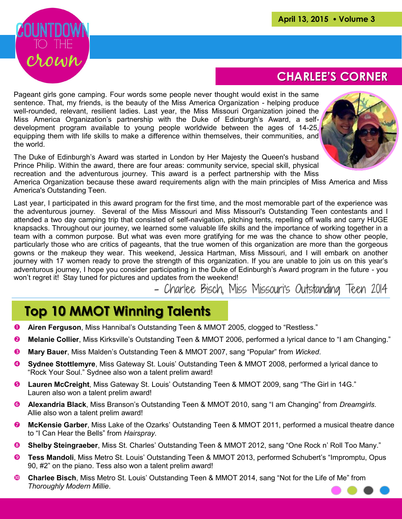

### **CHARLEE'S CORNER**

Pageant girls gone camping. Four words some people never thought would exist in the same sentence. That, my friends, is the beauty of the Miss America Organization - helping produce well-rounded, relevant, resilient ladies. Last year, the Miss Missouri Organization joined the Miss America Organization's partnership with the Duke of Edinburgh's Award, a selfdevelopment program available to young people worldwide between the ages of 14-25, equipping them with life skills to make a difference within themselves, their communities, and the world.



The Duke of Edinburgh's Award was started in London by Her Majesty the Queen's husband Prince Philip. Within the award, there are four areas: community service, special skill, physical recreation and the adventurous journey. This award is a perfect partnership with the Miss

America Organization because these award requirements align with the main principles of Miss America and Miss America's Outstanding Teen.

Last year, I participated in this award program for the first time, and the most memorable part of the experience was the adventurous journey. Several of the Miss Missouri and Miss Missouri's Outstanding Teen contestants and I attended a two day camping trip that consisted of self-navigation, pitching tents, repelling off walls and carry HUGE knapsacks. Throughout our journey, we learned some valuable life skills and the importance of working together in a team with a common purpose. But what was even more gratifying for me was the chance to show other people, particularly those who are critics of pageants, that the true women of this organization are more than the gorgeous gowns or the makeup they wear. This weekend, Jessica Hartman, Miss Missouri, and I will embark on another journey with 17 women ready to prove the strength of this organization. If you are unable to join us on this year's adventurous journey, I hope you consider participating in the Duke of Edinburgh's Award program in the future - you won't regret it! Stay tuned for pictures and updates from the weekend!

- Charlee Bisch, Miss Missouri's Outstanding Teen 2014

### **Top 10 MMOT Winning Talents**

- **Airen Ferguson**, Miss Hannibal's Outstanding Teen & MMOT 2005, clogged to "Restless."
- **Melanie Collier**, Miss Kirksville's Outstanding Teen & MMOT 2006, performed a lyrical dance to "I am Changing."
- **Mary Bauer**, Miss Malden's Outstanding Teen & MMOT 2007, sang "Popular" from *Wicked*.
- **Sydnee Stottlemyre**, Miss Gateway St. Louis' Outstanding Teen & MMOT 2008, performed a lyrical dance to "Rock Your Soul." Sydnee also won a talent prelim award!
- **Lauren McCreight**, Miss Gateway St. Louis' Outstanding Teen & MMOT 2009, sang "The Girl in 14G." Lauren also won a talent prelim award!
- **Alexandria Black**, Miss Branson's Outstanding Teen & MMOT 2010, sang "I am Changing" from *Dreamgirls*. Allie also won a talent prelim award!
- **McKensie Garber**, Miss Lake of the Ozarks' Outstanding Teen & MMOT 2011, performed a musical theatre dance to "I Can Hear the Bells" from *Hairspray*.
- **Shelby Steingraeber**, Miss St. Charles' Outstanding Teen & MMOT 2012, sang "One Rock n' Roll Too Many."
- **Tess Mandoli**, Miss Metro St. Louis' Outstanding Teen & MMOT 2013, performed Schubert's "Impromptu, Opus 90, #2" on the piano. Tess also won a talent prelim award!
- **Charlee Bisch**, Miss Metro St. Louis' Outstanding Teen & MMOT 2014, sang "Not for the Life of Me" from  *Thoroughly Modern Millie*.